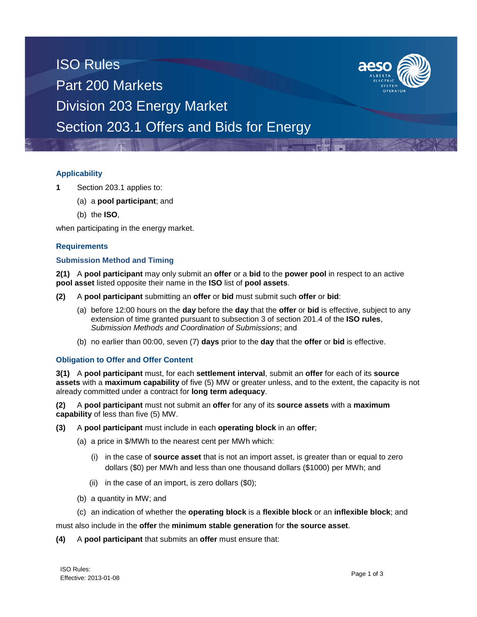# ISO Rules Part 200 Markets Division 203 Energy Market Section 203.1 Offers and Bids for Energy



## **Applicability**

- **1** Section 203.1 applies to:
	- (a) a **pool participant**; and
	- (b) the **ISO**,

when participating in the energy market.

## **Requirements**

### **Submission Method and Timing**

**2(1)** A **pool participant** may only submit an **offer** or a **bid** to the **power pool** in respect to an active **pool asset** listed opposite their name in the **ISO** list of **pool assets**.

- **(2)** A **pool participant** submitting an **offer** or **bid** must submit such **offer** or **bid**:
	- (a) before 12:00 hours on the **day** before the **day** that the **offer** or **bid** is effective, subject to any extension of time granted pursuant to subsection 3 of section 201.4 of the **ISO rules**, *Submission Methods and Coordination of Submissions*; and
	- (b) no earlier than 00:00, seven (7) **days** prior to the **day** that the **offer** or **bid** is effective.

## **Obligation to Offer and Offer Content**

**3(1)** A **pool participant** must, for each **settlement interval**, submit an **offer** for each of its **source assets** with a **maximum capability** of five (5) MW or greater unless, and to the extent, the capacity is not already committed under a contract for **long term adequacy**.

**(2)** A **pool participant** must not submit an **offer** for any of its **source assets** with a **maximum capability** of less than five (5) MW.

- **(3)** A **pool participant** must include in each **operating block** in an **offer**;
	- (a) a price in \$/MWh to the nearest cent per MWh which:
		- (i) in the case of **source asset** that is not an import asset, is greater than or equal to zero dollars (\$0) per MWh and less than one thousand dollars (\$1000) per MWh; and
		- (ii) in the case of an import, is zero dollars  $(\$0)$ ;
	- (b) a quantity in MW; and
	- (c) an indication of whether the **operating block** is a **flexible block** or an **inflexible block**; and

#### must also include in the **offer** the **minimum stable generation** for **the source asset**.

**(4)** A **pool participant** that submits an **offer** must ensure that: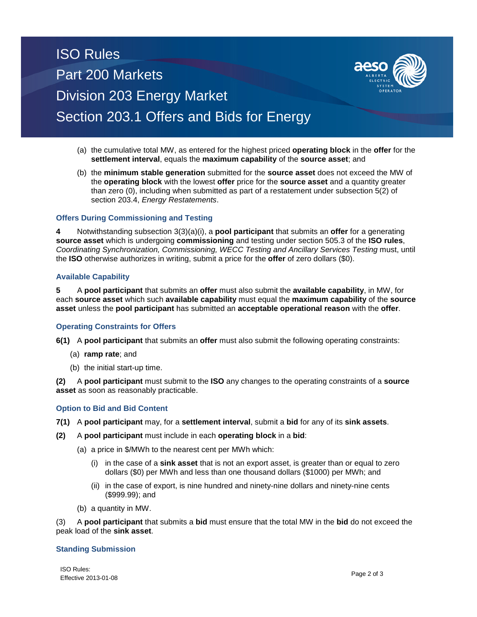## ISO Rules Part 200 Markets Division 203 Energy Market Section 203.1 Offers and Bids for Energy



- (a) the cumulative total MW, as entered for the highest priced **operating block** in the **offer** for the **settlement interval**, equals the **maximum capability** of the **source asset**; and
- (b) the **minimum stable generation** submitted for the **source asset** does not exceed the MW of the **operating block** with the lowest **offer** price for the **source asset** and a quantity greater than zero (0), including when submitted as part of a restatement under subsection 5(2) of section 203.4, *Energy Restatements*.

### **Offers During Commissioning and Testing**

**4** Notwithstanding subsection 3(3)(a)(i), a **pool participant** that submits an **offer** for a generating **source asset** which is undergoing **commissioning** and testing under section 505.3 of the **ISO rules**, *Coordinating Synchronization, Commissioning, WECC Testing and Ancillary Services Testing* must, until the **ISO** otherwise authorizes in writing, submit a price for the **offer** of zero dollars (\$0).

### **Available Capability**

**5** A **pool participant** that submits an **offer** must also submit the **available capability**, in MW, for each **source asset** which such **available capability** must equal the **maximum capability** of the **source asset** unless the **pool participant** has submitted an **acceptable operational reason** with the **offer**.

## **Operating Constraints for Offers**

**6(1)** A **pool participant** that submits an **offer** must also submit the following operating constraints:

- (a) **ramp rate**; and
- (b) the initial start-up time.

**(2)** A **pool participant** must submit to the **ISO** any changes to the operating constraints of a **source asset** as soon as reasonably practicable.

## **Option to Bid and Bid Content**

- **7(1)** A **pool participant** may, for a **settlement interval**, submit a **bid** for any of its **sink assets**.
- **(2)** A **pool participant** must include in each **operating block** in a **bid**:
	- (a) a price in \$/MWh to the nearest cent per MWh which:
		- (i) in the case of a **sink asset** that is not an export asset, is greater than or equal to zero dollars (\$0) per MWh and less than one thousand dollars (\$1000) per MWh; and
		- (ii) in the case of export, is nine hundred and ninety-nine dollars and ninety-nine cents (\$999.99); and
	- (b) a quantity in MW.

(3) A **pool participant** that submits a **bid** must ensure that the total MW in the **bid** do not exceed the peak load of the **sink asset**.

#### **Standing Submission**

ISO Rules: Page 2 of 3<br>Effective 2013-01-08